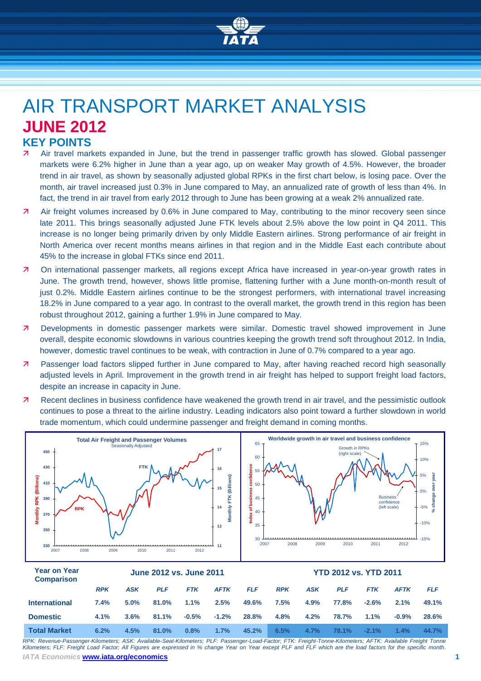

# AIR TRANSPORT MARKET ANALYSIS **JUNE 2012 KEY POINTS**

- Air travel markets expanded in June, but the trend in passenger traffic growth has slowed. Global passenger markets were 6.2% higher in June than a year ago, up on weaker May growth of 4.5%. However, the broader trend in air travel, as shown by seasonally adjusted global RPKs in the first chart below, is losing pace. Over the month, air travel increased just 0.3% in June compared to May, an annualized rate of growth of less than 4%. In fact, the trend in air travel from early 2012 through to June has been growing at a weak 2% annualized rate.
- Air freight volumes increased by 0.6% in June compared to May, contributing to the minor recovery seen since late 2011. This brings seasonally adjusted June FTK levels about 2.5% above the low point in Q4 2011. This increase is no longer being primarily driven by only Middle Eastern airlines. Strong performance of air freight in North America over recent months means airlines in that region and in the Middle East each contribute about 45% to the increase in global FTKs since end 2011.
- On international passenger markets, all regions except Africa have increased in year-on-year growth rates in June. The growth trend, however, shows little promise, flattening further with a June month-on-month result of just 0.2%. Middle Eastern airlines continue to be the strongest performers, with international travel increasing 18.2% in June compared to a year ago. In contrast to the overall market, the growth trend in this region has been robust throughout 2012, gaining a further 1.9% in June compared to May.
- **7** Developments in domestic passenger markets were similar. Domestic travel showed improvement in June overall, despite economic slowdowns in various countries keeping the growth trend soft throughout 2012. In India, however, domestic travel continues to be weak, with contraction in June of 0.7% compared to a year ago.
- **7** Passenger load factors slipped further in June compared to May, after having reached record high seasonally adjusted levels in April. Improvement in the growth trend in air freight has helped to support freight load factors, despite an increase in capacity in June.
- Recent declines in business confidence have weakened the growth trend in air travel, and the pessimistic outlook continues to pose a threat to the airline industry. Leading indicators also point toward a further slowdown in world trade momentum, which could undermine passenger and freight demand in coming months.



| <b>Year on Year</b><br><b>Comparison</b> | June 2012 vs. June 2011 |            |            |            |             |            | <b>YTD 2012 vs. YTD 2011</b> |            |            |            |             |            |
|------------------------------------------|-------------------------|------------|------------|------------|-------------|------------|------------------------------|------------|------------|------------|-------------|------------|
|                                          | <b>RPK</b>              | <b>ASK</b> | <b>PLF</b> | <b>FTK</b> | <b>AFTK</b> | <b>FLF</b> | <b>RPK</b>                   | <b>ASK</b> | <b>PLF</b> | <b>FTK</b> | <b>AFTK</b> | <b>FLF</b> |
| <b>International</b>                     | 7.4%                    | 5.0%       | 81.0%      | 1.1%       | 2.5%        | 49.6%      | 7.5%                         | 4.9%       | 77.8%      | $-2.6%$    | 2.1%        | 49.1%      |
| <b>Domestic</b>                          | $4.1\%$                 | 3.6%       | 81.1%      | $-0.5%$    | $-1.2%$     | 28.8%      | 4.8%                         | 4.2%       | 78.7%      | $1.1\%$    | $-0.9%$     | 28.6%      |
| <b>Total Market</b>                      | 6.2%                    | 4.5%       | 81.0%      | 0.8%       | 1.7%        | 45.2%      | 6.5%                         | 4.7%       | 78.1%      | $-2.1%$    | $1.4\%$     | 44.7%      |

*IATA Economics* **www.iata.org/economics 1** *RPK: Revenue-Passenger-Kilometers; ASK: Available-Seat-Kilometers; PLF: Passenger-Load-Factor; FTK: Freight-Tonne-Kilometers; AFTK: Available Freight Tonne Kilometers; FLF: Freight Load Factor; All Figures are expressed in % change Year on Year except PLF and FLF which are the load factors for the specific month.*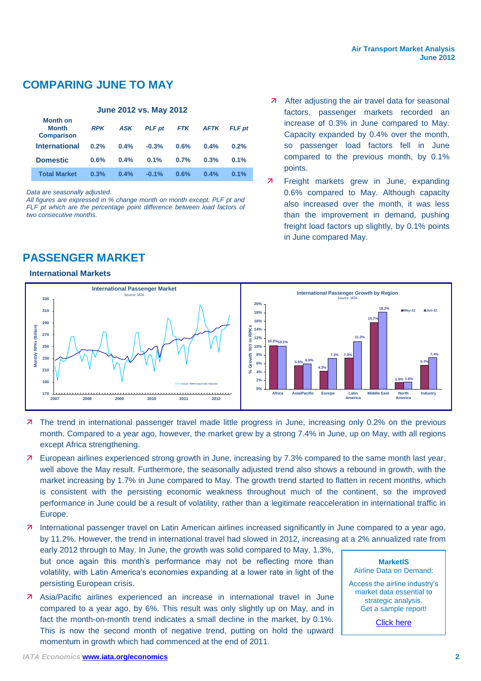## **COMPARING JUNE TO MAY**

#### **June 2012 vs. May 2012 Month on Month Comparison** *RPK ASK PLF pt FTK AFTK FLF pt* **International 0.2% 0.4% -0.3% 0.6% 0.4% 0.2% Domestic 0.6% 0.4% 0.1% 0.7% 0.3% 0.1% Total Market 0.3% 0.4% -0.1% 0.6% 0.4% 0.1%**

*Data are seasonally adjusted.*

*All figures are expressed in % change month on month except, PLF pt and*  FLF pt which are the percentage point difference between load factors of *two consecutive months.*

## **PASSENGER MARKET**

#### **International Markets**

- 7 After adjusting the air travel data for seasonal factors, passenger markets recorded an increase of 0.3% in June compared to May. Capacity expanded by 0.4% over the month, so passenger load factors fell in June compared to the previous month, by 0.1% points.
- 7 Freight markets grew in June, expanding 0.6% compared to May. Although capacity also increased over the month, it was less than the improvement in demand, pushing freight load factors up slightly, by 0.1% points in June compared May.



- **7** The trend in international passenger travel made little progress in June, increasing only 0.2% on the previous month. Compared to a year ago, however, the market grew by a strong 7.4% in June, up on May, with all regions except Africa strengthening.
- European airlines experienced strong growth in June, increasing by 7.3% compared to the same month last year, well above the May result. Furthermore, the seasonally adjusted trend also shows a rebound in growth, with the market increasing by 1.7% in June compared to May. The growth trend started to flatten in recent months, which is consistent with the persisting economic weakness throughout much of the continent, so the improved performance in June could be a result of volatility, rather than a legitimate reacceleration in international traffic in Europe.
- International passenger travel on Latin American airlines increased significantly in June compared to a year ago, by 11.2%. However, the trend in international travel had slowed in 2012, increasing at a 2% annualized rate from

early 2012 through to May. In June, the growth was solid compared to May, 1.3%, but once again this month's performance may not be reflecting more than volatility, with Latin America's economies expanding at a lower rate in light of the persisting European crisis.

 Asia/Pacific airlines experienced an increase in international travel in June compared to a year ago, by 6%. This result was only slightly up on May, and in fact the month-on-month trend indicates a small decline in the market, by 0.1%. This is now the second month of negative trend, putting on hold the upward momentum in growth which had commenced at the end of 2011.

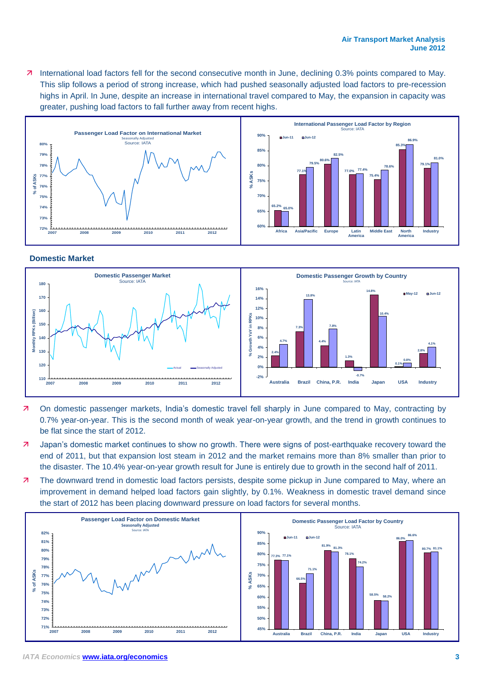7 International load factors fell for the second consecutive month in June, declining 0.3% points compared to May. This slip follows a period of strong increase, which had pushed seasonally adjusted load factors to pre-recession highs in April. In June, despite an increase in international travel compared to May, the expansion in capacity was greater, pushing load factors to fall further away from recent highs.



#### **Domestic Market**



- On domestic passenger markets, India's domestic travel fell sharply in June compared to May, contracting by 0.7% year-on-year. This is the second month of weak year-on-year growth, and the trend in growth continues to be flat since the start of 2012.
- Japan's domestic market continues to show no growth. There were signs of post-earthquake recovery toward the end of 2011, but that expansion lost steam in 2012 and the market remains more than 8% smaller than prior to the disaster. The 10.4% year-on-year growth result for June is entirely due to growth in the second half of 2011.
- **7** The downward trend in domestic load factors persists, despite some pickup in June compared to May, where an improvement in demand helped load factors gain slightly, by 0.1%. Weakness in domestic travel demand since the start of 2012 has been placing downward pressure on load factors for several months.

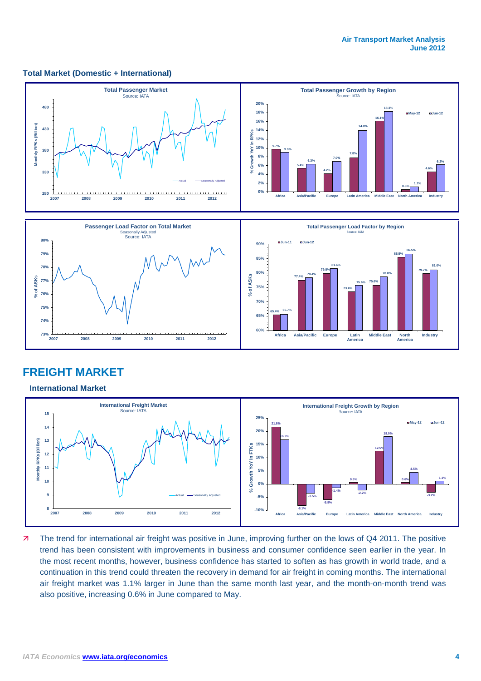#### **Total Market (Domestic + International)**



### **FREIGHT MARKET**

#### **International Market**



7 The trend for international air freight was positive in June, improving further on the lows of Q4 2011. The positive trend has been consistent with improvements in business and consumer confidence seen earlier in the year. In the most recent months, however, business confidence has started to soften as has growth in world trade, and a continuation in this trend could threaten the recovery in demand for air freight in coming months. The international air freight market was 1.1% larger in June than the same month last year, and the month-on-month trend was also positive, increasing 0.6% in June compared to May.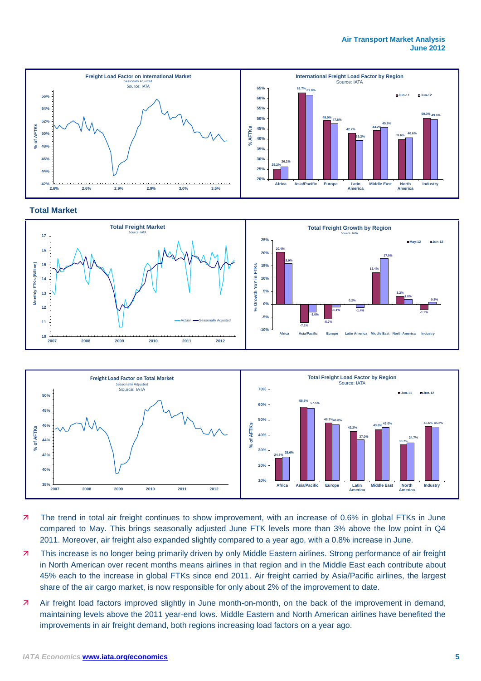#### **Air Transport Market Analysis June 2012**



#### **Total Market**





- 71 The trend in total air freight continues to show improvement, with an increase of 0.6% in global FTKs in June compared to May. This brings seasonally adjusted June FTK levels more than 3% above the low point in Q4 2011. Moreover, air freight also expanded slightly compared to a year ago, with a 0.8% increase in June.
- This increase is no longer being primarily driven by only Middle Eastern airlines. Strong performance of air freight in North American over recent months means airlines in that region and in the Middle East each contribute about 45% each to the increase in global FTKs since end 2011. Air freight carried by Asia/Pacific airlines, the largest share of the air cargo market, is now responsible for only about 2% of the improvement to date.
- Air freight load factors improved slightly in June month-on-month, on the back of the improvement in demand, maintaining levels above the 2011 year-end lows. Middle Eastern and North American airlines have benefited the improvements in air freight demand, both regions increasing load factors on a year ago.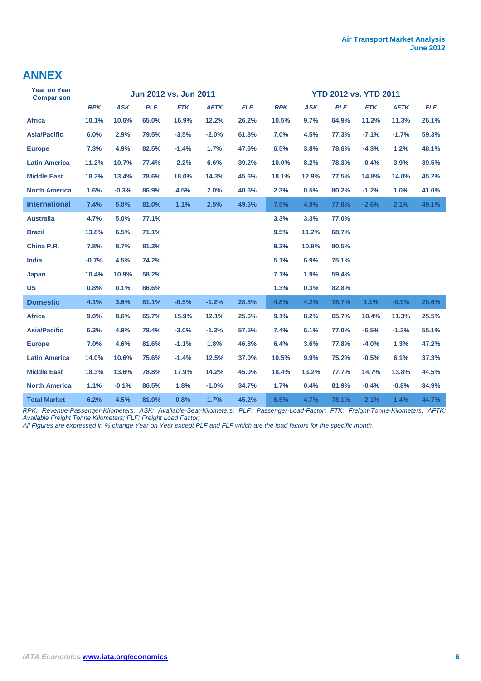### **ANNEX**

| <b>Year on Year</b><br><b>Comparison</b> |            |            |            | Jun 2012 vs. Jun 2011 |             |            | <b>YTD 2012 vs. YTD 2011</b> |            |            |            |             |            |  |
|------------------------------------------|------------|------------|------------|-----------------------|-------------|------------|------------------------------|------------|------------|------------|-------------|------------|--|
|                                          | <b>RPK</b> | <b>ASK</b> | <b>PLF</b> | <b>FTK</b>            | <b>AFTK</b> | <b>FLF</b> | <b>RPK</b>                   | <b>ASK</b> | <b>PLF</b> | <b>FTK</b> | <b>AFTK</b> | <b>FLF</b> |  |
| <b>Africa</b>                            | 10.1%      | 10.6%      | 65.0%      | 16.9%                 | 12.2%       | 26.2%      | 10.5%                        | 9.7%       | 64.9%      | 11.2%      | 11.3%       | 26.1%      |  |
| <b>Asia/Pacific</b>                      | 6.0%       | 2.9%       | 79.5%      | $-3.5%$               | $-2.0%$     | 61.8%      | 7.0%                         | 4.5%       | 77.3%      | $-7.1%$    | $-1.7%$     | 59.3%      |  |
| <b>Europe</b>                            | 7.3%       | 4.9%       | 82.5%      | $-1.4%$               | 1.7%        | 47.6%      | 6.5%                         | 3.8%       | 78.6%      | $-4.3%$    | 1.2%        | 48.1%      |  |
| <b>Latin America</b>                     | 11.2%      | 10.7%      | 77.4%      | $-2.2%$               | 6.6%        | 39.2%      | 10.0%                        | 8.2%       | 78.3%      | $-0.4%$    | 3.9%        | 39.5%      |  |
| <b>Middle East</b>                       | 18.2%      | 13.4%      | 78.6%      | 18.0%                 | 14.3%       | 45.6%      | 18.1%                        | 12.9%      | 77.5%      | 14.8%      | 14.0%       | 45.2%      |  |
| <b>North America</b>                     | 1.6%       | $-0.3%$    | 86.9%      | 4.5%                  | 2.0%        | 40.6%      | 2.3%                         | 0.5%       | 80.2%      | $-1.2%$    | 1.0%        | 41.0%      |  |
| <b>International</b>                     | 7.4%       | 5.0%       | 81.0%      | 1.1%                  | 2.5%        | 49.6%      | 7.5%                         | 4.9%       | 77.8%      | $-2.6%$    | 2.1%        | 49.1%      |  |
| <b>Australia</b>                         | 4.7%       | 5.0%       | 77.1%      |                       |             |            | 3.3%                         | 3.3%       | 77.0%      |            |             |            |  |
| <b>Brazil</b>                            | 13.8%      | 6.5%       | 71.1%      |                       |             |            | 9.5%                         | 11.2%      | 68.7%      |            |             |            |  |
| China P.R.                               | 7.8%       | 8.7%       | 81.3%      |                       |             |            | 9.3%                         | 10.8%      | 80.5%      |            |             |            |  |
| India                                    | $-0.7%$    | 4.5%       | 74.2%      |                       |             |            | 5.1%                         | 6.9%       | 75.1%      |            |             |            |  |
| Japan                                    | 10.4%      | 10.9%      | 58.2%      |                       |             |            | 7.1%                         | 1.9%       | 59.4%      |            |             |            |  |
| <b>US</b>                                | 0.8%       | 0.1%       | 86.6%      |                       |             |            | 1.3%                         | 0.3%       | 82.8%      |            |             |            |  |
| <b>Domestic</b>                          | 4.1%       | 3.6%       | 81.1%      | $-0.5%$               | $-1.2%$     | 28.8%      | 4.8%                         | 4.2%       | 78.7%      | 1.1%       | $-0.9%$     | 28.6%      |  |
| <b>Africa</b>                            | 9.0%       | 8.6%       | 65.7%      | 15.9%                 | 12.1%       | 25.6%      | 9.1%                         | 8.2%       | 65.7%      | 10.4%      | 11.3%       | 25.5%      |  |
| <b>Asia/Pacific</b>                      | 6.3%       | 4.9%       | 78.4%      | $-3.0%$               | $-1.3%$     | 57.5%      | 7.4%                         | 6.1%       | 77.0%      | $-6.5%$    | $-1.2%$     | 55.1%      |  |
| <b>Europe</b>                            | 7.0%       | 4.6%       | 81.6%      | $-1.1%$               | 1.8%        | 46.8%      | 6.4%                         | 3.6%       | 77.8%      | $-4.0%$    | 1.3%        | 47.2%      |  |
| <b>Latin America</b>                     | 14.0%      | 10.6%      | 75.6%      | $-1.4%$               | 12.5%       | 37.0%      | 10.5%                        | 9.9%       | 75.2%      | $-0.5%$    | 6.1%        | 37.3%      |  |
| <b>Middle East</b>                       | 18.3%      | 13.6%      | 78.8%      | 17.9%                 | 14.2%       | 45.0%      | 18.4%                        | 13.2%      | 77.7%      | 14.7%      | 13.8%       | 44.5%      |  |
| <b>North America</b>                     | 1.1%       | $-0.1%$    | 86.5%      | 1.8%                  | $-1.0%$     | 34.7%      | 1.7%                         | 0.4%       | 81.9%      | $-0.4%$    | $-0.8%$     | 34.9%      |  |
| <b>Total Market</b>                      | 6.2%       | 4.5%       | 81.0%      | 0.8%                  | 1.7%        | 45.2%      | 6.5%                         | 4.7%       | 78.1%      | $-2.1%$    | 1.4%        | 44.7%      |  |

*RPK: Revenue-Passenger-Kilometers; ASK: Available-Seat-Kilometers; PLF: Passenger-Load-Factor; FTK: Freight-Tonne-Kilometers; AFTK: Available Freight Tonne Kilometers; FLF: Freight Load Factor;* 

*All Figures are expressed in % change Year on Year except PLF and FLF which are the load factors for the specific month.*